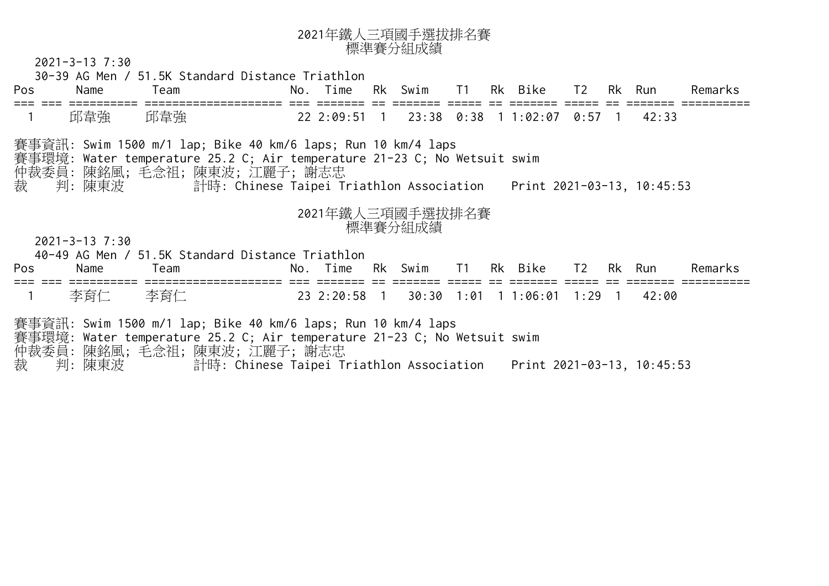

2021-3-13 7:30

30-39 AG Men / 51.5K Standard Distance Triathlon

| Pos                                                 | Name                                                                                                                                                                                                                                                         | Team                                                                                                                                                                      |  | No. Time |  | Rk Swim T1 Rk Bike          |  |  |                                          | T2        |  | Rk Run | Remarks |
|-----------------------------------------------------|--------------------------------------------------------------------------------------------------------------------------------------------------------------------------------------------------------------------------------------------------------------|---------------------------------------------------------------------------------------------------------------------------------------------------------------------------|--|----------|--|-----------------------------|--|--|------------------------------------------|-----------|--|--------|---------|
|                                                     | 邱韋強                                                                                                                                                                                                                                                          | 邱韋強                                                                                                                                                                       |  |          |  |                             |  |  | 22 2:09:51 1 23:38 0:38 1 1:02:07 0:57 1 |           |  | 42:33  |         |
| 裁                                                   | 賽事資訊: Swim 1500 m/1 lap; Bike 40 km/6 laps; Run 10 km/4 laps<br>賽事環境: Water temperature 25.2 C; Air temperature 21-23 C; No Wetsuit swim<br>仲裁委員: 陳銘風; 毛念祖; 陳東波; 江麗子; 謝志忠<br>計時: Chinese Taipei Triathlon Association    Print 2021-03-13, 10:45:53<br>判:陳東波 |                                                                                                                                                                           |  |          |  |                             |  |  |                                          |           |  |        |         |
| 2021年鐵人三項國手選拔排名賽<br>標準賽分組成績<br>$2021 - 3 - 13$ 7:30 |                                                                                                                                                                                                                                                              |                                                                                                                                                                           |  |          |  |                             |  |  |                                          |           |  |        |         |
|                                                     |                                                                                                                                                                                                                                                              | 40-49 AG Men / 51.5K Standard Distance Triathlon                                                                                                                          |  |          |  |                             |  |  |                                          |           |  |        |         |
| <b>Pos</b>                                          | Name                                                                                                                                                                                                                                                         | Team<br>================================                                                                                                                                  |  |          |  | No. Time Rk Swim T1 Rk Bike |  |  |                                          | T2 Rk Run |  |        | Remarks |
|                                                     | 李育仁                                                                                                                                                                                                                                                          | 李育仁                                                                                                                                                                       |  |          |  |                             |  |  | 23 2:20:58 1 30:30 1:01 1 1:06:01 1:29 1 |           |  | 42:00  |         |
| 裁                                                   | 判:陳東波                                                                                                                                                                                                                                                        | 賽事資訊: Swim 1500 m/1 lap; Bike 40 km/6 laps; Run 10 km/4 laps<br>賽事環境: Water temperature 25.2 C; Air temperature 21-23 C; No Wetsuit swim<br>仲裁委員: 陳銘風; 毛念祖; 陳東波; 江麗子; 謝志忠 |  |          |  |                             |  |  |                                          |           |  |        |         |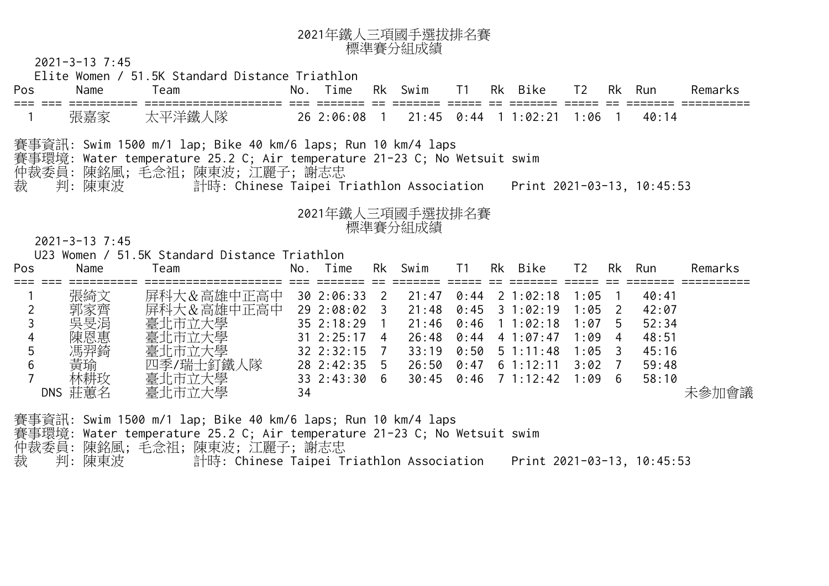| 2021年鐵人三項國手選拔排名賽 |
|------------------|
| 標準賽分組成績          |

2021-3-13 7:45

 Elite Women / 51.5K Standard Distance Triathlon Pos Name Team No. Time Rk Swim T1 Rk Bike T2 Rk Run Remarks === === ========== ==================== === ======= == ======= ===== == ======= ===== == ======= ========== 張嘉家 太平洋鐵人隊 26 2:06:08 1 21:45 0:44 1 1:02:21 1:06 1 40:14 賽事資訊: Swim 1500 m/1 lap; Bike 40 km/6 laps; Run 10 km/4 laps 賽事環境: Water temperature 25.2 C; Air temperature 2<mark>1-23 C; No</mark> Wetsuit swim 仲裁委員: 陳銘風; 毛念祖; 陳東波; 江麗子; 謝志忠 裁 判: 陳東波 計時: Chinese Taipei Triathlon Association Print 2021-03-13, 10:45:53 <sup>2021</sup>年鐵人三項國手選拔排名賽 標準賽分組成績 2021-3-13 7:45 U23 Women / 51.5K Standard Distance Triathlon Pos Name Team No. Time Rk Swim T1 Rk Bike T2 Rk Run Remarks === === ========== ==================== === ======= == ======= ===== == ======= ===== == ======= ========== 張綺文 屏科大&高雄中正高中 30 2:06:33 2 21:47 0:44 2 1:02:18 1:05 1 40:41 2 郭家齊 屏科大&高雄中正高中 29 2:08:02 3 21:48 0:45 3 1:02:19 1:05 2 42:07 <sup>3</sup>吳旻涓 臺北市立大學 35 2:18:29 1 21:46 0:46 1 1:02:18 1:07 5 52:34 <sup>4</sup>陳恩惠 臺北市立大學 31 2:25:17 4 26:48 0:44 4 1:07:47 1:09 4 48:51 <sup>5</sup>馮羿錡 臺北市立大學 32 2:32:15 7 33:19 0:50 5 1:11:48 1:05 3 45:16 <sup>6</sup>黃瑜 四季 人隊 28 2:42:35 5 26:50 0:47 6 1:12:11 3:02 7 59:48 <sup>7</sup>林耕玫 臺北市立大學 33 2:43:30 6 30:45 0:46 7 1:12:42 1:09 6 58:10 DNS 莊蕙名 臺北市立大學 34 未參加會議 賽事資訊: Swim 1500 m/1 lap; Bike 40 km/6 laps; Run 10 km/4 laps 賽事環境: Water temperature 25.2 C; Air temperature 21-23 C; No Wetsuit swim 仲裁委員: 陳銘風; 毛念祖; 陳東波; 江麗子; 謝志忠

裁 判: 陳東波 計時: Chinese Taipei Triathlon Association Print 2021-03-13, 10:45:53

4 9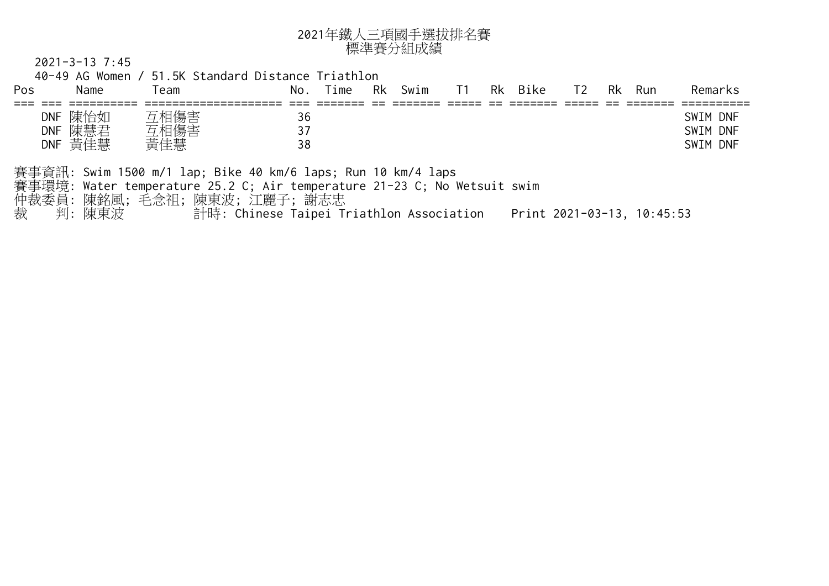

2021-3-13 7:45

| Name<br>Pos                                     | 40-49 AG Women / 51.5K Standard Distance Triathlon<br>Team                                                                                                                                 | No. Time       | Rk Swim | T1 | Rk Bike | T <sub>2</sub>             | Rk Run | Remarks                          |
|-------------------------------------------------|--------------------------------------------------------------------------------------------------------------------------------------------------------------------------------------------|----------------|---------|----|---------|----------------------------|--------|----------------------------------|
| DNF 陳怡如<br>DNF 陳慧君<br>DNF 黃佳慧                   | 互相傷害<br>互相傷害<br>黃佳慧                                                                                                                                                                        | 36<br>37<br>38 |         |    |         |                            |        | SWIM DNF<br>SWIM DNF<br>SWIM DNF |
| 事環境:<br>仲裁委員:陳銘風;毛念祖;陳東波;江麗子;謝志忠<br>裁<br>判: 陳東波 | 事資訊: Swim 1500 m/1 lap; Bike 40 km/6 laps; Run <mark>10 km/4 laps</mark><br>Water temperature 25.2 C; Air temperature 21-23 C; No Wetsuit swim<br>計時: Chinese Taipei Triathlon Association |                |         |    |         | Print 2021-03-13, 10:45:53 |        |                                  |
|                                                 |                                                                                                                                                                                            |                |         |    |         |                            |        |                                  |
|                                                 | 三                                                                                                                                                                                          |                |         |    |         |                            |        |                                  |
|                                                 |                                                                                                                                                                                            |                |         |    |         | IOI.                       |        |                                  |
|                                                 |                                                                                                                                                                                            |                | TTT A   |    |         |                            |        |                                  |
|                                                 |                                                                                                                                                                                            |                |         |    |         |                            |        |                                  |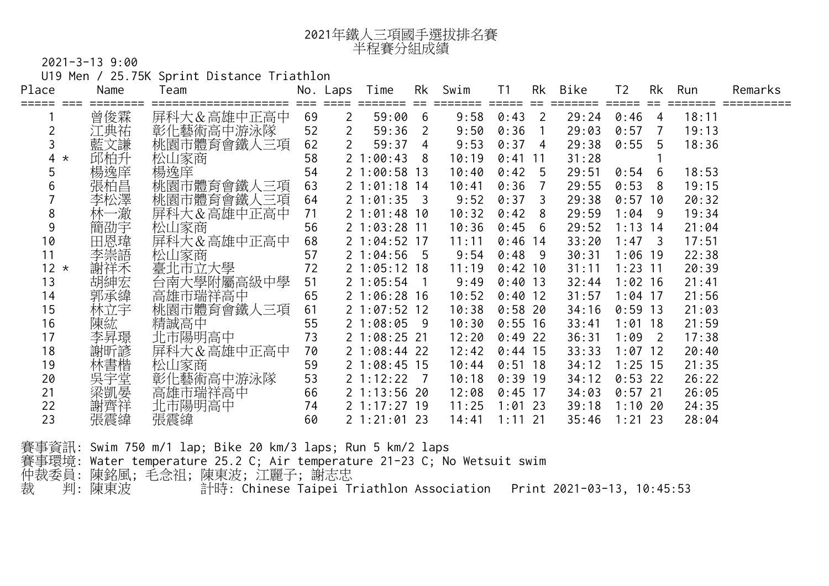| 2021年鐵人三項國手選拔排名賽 |
|------------------|
| 半程賽分組成績          |

U19 Men / 25.75K Sprint Distance Triathlon

| Place         | Name       | Team                             |    | No. Laps       | Time              | Rk             | Swim  | T1             | Rk             | Bike                  | T <sub>2</sub> | Rk              | Run   | Remarks |
|---------------|------------|----------------------------------|----|----------------|-------------------|----------------|-------|----------------|----------------|-----------------------|----------------|-----------------|-------|---------|
|               | 曾俊霖        | :=================<br>屏科大&高雄中正高中 | 69 | $\overline{2}$ | =======<br>59:006 |                | 9:58  | $0:43$ 2       | ==             | 29:24                 | 0:46           | $\overline{4}$  | 18:11 |         |
|               | 江典祐        | 彰化藝術高中游泳隊                        | 52 | $\overline{2}$ | 59:36             | $-2$           | 9:50  | $0:36$ 1       |                | 29:03                 | 0:57           | $7\overline{ }$ | 19:13 |         |
|               | 藍文謙        | 桃園市體育會鐵人三項                       | 62 |                | 59:37             | $\overline{4}$ | 9:53  | $0:37$ 4       |                | 29:38                 | 0:5555         |                 | 18:36 |         |
| 4<br>$\star$  | 邱柏升        | 松山家商                             | 58 |                | 21:00:43          | 8              | 10:19 | $0:41$ 11      |                | 31:28                 |                |                 |       |         |
| 5             | 楊逸庠        | 楊逸庠                              | 54 |                | 21:00:5813        |                | 10:40 | 0:42           | 5 <sup>5</sup> | 29:51                 | 0:54           | -6              | 18:53 |         |
| 6             | 張柏昌        | 桃園市體育會鐵人三項                       | 63 |                | $2$ 1:01:18 14    |                | 10:41 | 0:36           |                | 29:55                 | 0:53 8         |                 | 19:15 |         |
|               | 李松澤        | 桃園市體育會鐵人三項                       | 64 |                | $21:01:35$ 3      |                | 9:52  | 0:37           | 3              | 29:38                 | $0:57$ 10      |                 | 20:32 |         |
| 8             | 林一澈        | 屏科大&高雄中正高中                       | 71 |                | 21:01:4810        |                | 10:32 | 0:42           | 8              | 29:59                 | $1:04$ 9       |                 | 19:34 |         |
| 9             | 簡劭宇        | 松山家商                             | 56 |                | 21:03:2811        |                | 10:36 | $0:45 \quad 6$ |                | 29:52                 | $1:13$ 14      |                 | 21:04 |         |
| 10            | 田恩瑋        | 屏科大&高雄中正高中                       | 68 |                | 21:04:5217        |                | 11:11 | $0:46$ 14      |                | $33:20$ 1:47 3        |                |                 | 17:51 |         |
| 11            | 李崇語        | 松山家商                             | 57 |                | $2\;1:04:56\;5$   |                | 9:54  | $0:48$ 9       |                | $30:31$ 1:06 19       |                |                 | 22:38 |         |
| 12<br>$\star$ | 謝祥禾        | 臺北市立大學                           | 72 |                | 21:05:1218        |                | 11:19 | $0:42$ 10      |                | $31:11$ 1:23 11       |                |                 | 20:39 |         |
| 13            | 胡紳宏        | 台南大學附屬高級中學<br>高雄市瑞祥高中            | 51 |                | 21:05:54          | $\blacksquare$ | 9:49  | $0:40$ 13      |                | $32:44$ 1:02 16       |                |                 | 21:41 |         |
| 14            | 郭承緯        |                                  | 65 |                | 21:06:2816        |                | 10:52 | $0:40$ 12      |                | 31:57                 | $1:04$ 17      |                 | 21:56 |         |
| 15            | 林立宇        | 桃園市體育會鐵人三項                       | 61 |                | 21:07:5212        |                | 10:38 | $0:58$ 20      |                | 34:16                 | $0:59$ 13      |                 | 21:03 |         |
| 16            | 陳紘         | 精誠高中                             | 55 |                | 21:08:05          | - 9            | 10:30 | $0:55$ 16      |                | 33:41'                | 1:01           | 18              | 21:59 |         |
| 17            | 李昇璟        | 北市陽明高中                           | 73 |                | 21:08:25          | -21            | 12:20 | $0:49$ 22      |                | 36:31                 | 1:09           | $\overline{2}$  | 17:38 |         |
| 18            | 謝昕諺        | 屏科大&高雄中正高中                       | 70 |                | 21:08:44          | 22             | 12:42 | $0:44$ 15      |                | $33:33$ 1:07 12       |                |                 | 20:40 |         |
| 19            |            | 松山家商                             | 59 |                | 21:08:4515        |                | 10:44 | $0:51$ 18      |                | $34:12$ 1:25 15       |                |                 | 21:35 |         |
| 20            | 林書楷<br>吳宇堂 |                                  | 53 |                | 2 1:12:22         | $\overline{7}$ | 10:18 | $0:39$ 19      |                | $34:12 \quad 0:53$ 22 |                |                 | 26:22 |         |
| 21            | 梁凱晏        | 彰化藝術高中游泳隊<br>高雄市瑞祥高中             | 66 |                | 21:13:5620        |                | 12:08 | $0:45$ 17      |                | 34:03 0:57 21         |                |                 | 26:05 |         |
| 22            | 謝齊祥        | 北市陽明高中                           | 74 |                | 21:17:2719        |                | 11:25 | $1:01$ 23      |                | 39:18 1:10 20         |                |                 | 24:35 |         |
| 23            | 張震緯        | 張震緯                              | 60 |                | 21:21:0123        |                | 14:41 | $1:11$ 21      |                | 35:46                 | $1:21$ 23      |                 | 28:04 |         |

賽事資訊: Swim 750 m/1 lap; Bike 20 km/3 laps; Run 5 km/2 laps 賽事環境: Water temperature 25.2 C; Air temperature 21-23 C; No Wetsuit swim 仲裁委員: 陳銘風; 毛念祖; 陳東波; 江麗子; 謝志忠 裁 判: 陳東波 計時: Chinese Taipei Triathlon Association Print 2021-03-13, 10:45:53

6 9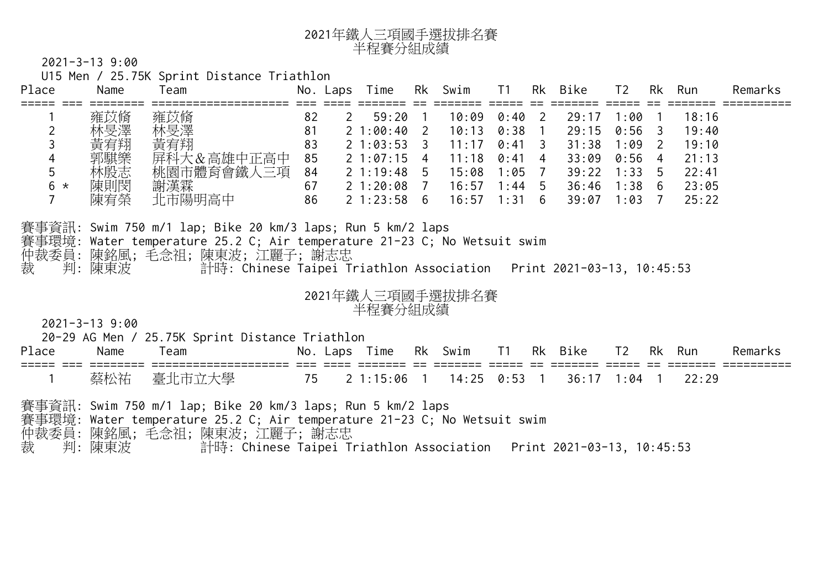| 2021年鐵人三項國手選拔排名賽 |
|------------------|
| 半程賽分組成績          |

U15 Men / 25.75K Sprint Distance Triathlon

| Place           | Name                                          | Team                                                                                                                                                                                                                                                                        |                                        | No. Laps   | Time                                                                                                             |                | Rk Swim                                                     | T1                                                                                                   |                | Rk Bike                                                     | T <sub>2</sub>                                                                   | Rk                                                                    | Run                                                         | Remarks |
|-----------------|-----------------------------------------------|-----------------------------------------------------------------------------------------------------------------------------------------------------------------------------------------------------------------------------------------------------------------------------|----------------------------------------|------------|------------------------------------------------------------------------------------------------------------------|----------------|-------------------------------------------------------------|------------------------------------------------------------------------------------------------------|----------------|-------------------------------------------------------------|----------------------------------------------------------------------------------|-----------------------------------------------------------------------|-------------------------------------------------------------|---------|
| 3<br>5<br>$6 *$ | 雍苡脩<br>林旻澤<br>黃宥翔<br>郭騏樂<br>林殷志<br>陳則閔<br>陳宥榮 | 雍苡脩<br>林旻澤<br>黃宥翔<br>屏科大&高雄中正高中<br>桃園市體育會鐵人三項<br>謝漢霖<br>北市陽明高中                                                                                                                                                                                                              | 82<br>81<br>83<br>85<br>84<br>67<br>86 | $\sqrt{2}$ | $-59:20$ 1<br>$21:00:40$ 2<br>$2\;1:03:53$<br>$21:07:15$ 4<br>$2\;1:19:48\;5$<br>$21:20:08$ 7<br>$2\;1:23:58\;6$ | 3 <sup>2</sup> | 10:09<br>10:13<br>11:17<br>11:18<br>15:08<br>16:57<br>16:57 | $0:40$ 2<br>$0:38$ 1<br>$0:41 \quad 3$<br>$0:41 \quad 4$<br>1:05<br>$1:44 \quad 5$<br>$1:31 \quad 6$ | $\overline{7}$ | 29:17<br>29:15<br>31:38<br>33:09<br>39:22<br>36:46<br>39:07 | 1:00<br>0:56<br>1:09<br>$0:56$ 4<br>$1:33 \quad 5$<br>$1:38 \quad 6$<br>$1:03$ 7 | $\overline{\phantom{a}}$<br>$\overline{\mathbf{3}}$<br>$\overline{2}$ | 18:16<br>19:40<br>19:10<br>21:13<br>22:41<br>23:05<br>25:22 |         |
| 裁               | 判:陳東波                                         | 賽事資訊: Swim 750 m/1 lap; Bike 20 km/3 laps; <mark>Run 5 km</mark> /2 laps<br>賽事環境: Water temperature 25.2 C; Air temperat <mark>ure 21-23 C; No We</mark> tsuit swim<br>仲裁委員: 陳銘風; 毛念祖; 陳東波; 江麗子; 謝志忠<br>計時: Chinese Taipei Triathlon Association Print 2021-03-13, 10:45:53 |                                        |            |                                                                                                                  |                |                                                             |                                                                                                      |                |                                                             |                                                                                  |                                                                       |                                                             |         |
|                 | $2021 - 3 - 13$ 9:00                          | 20-29 AG Men / 25.75K Sprint Distance Triathlon                                                                                                                                                                                                                             |                                        |            | 半程賽分組成績                                                                                                          |                | 2021年鐵人三項國手選拔排名賽                                            |                                                                                                      |                |                                                             |                                                                                  |                                                                       |                                                             |         |
| Place           | Name                                          | Team                                                                                                                                                                                                                                                                        |                                        |            | No. Laps Time                                                                                                    |                | Rk Swim                                                     | T1                                                                                                   | Rk             | Bike T2 Rk                                                  |                                                                                  |                                                                       | Run                                                         | Remarks |
|                 | 蔡松祐                                           | 臺北市立大學                                                                                                                                                                                                                                                                      | 75                                     |            | 21:15:06                                                                                                         | $\overline{1}$ | $14:25$ 0:53 1                                              |                                                                                                      |                | $36:17$ 1:04 1                                              |                                                                                  |                                                                       | 22:29                                                       |         |
| 裁               | 判:陳東波                                         | 賽事資訊: Swim 750 m/1 lap; Bike 20 km/3 laps; Run 5 km/2 laps<br>賽事環境: Water temperature 25.2 C; Air temperature 21-23 C; No Wetsuit swim<br>仲裁委員:陳銘風;毛念祖;陳東波;江麗子;謝志忠<br>計時: Chinese Taipei Triathlon Association Print 2021-03-13, 10:45:53                                   |                                        |            |                                                                                                                  |                |                                                             |                                                                                                      |                |                                                             |                                                                                  |                                                                       |                                                             |         |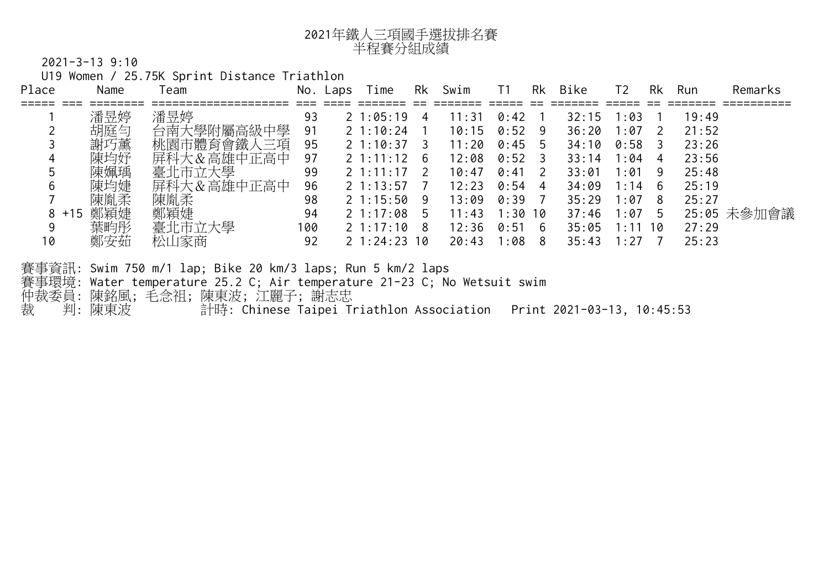

U19 Women / 25.75K Sprint Distance Triathlon

| Place    | Name  | Team                                                                                                                                                                                                                                                        |     | No. Laps | Time            | Rk   | Swim  | T1              |                | Rk Bike            | T <sub>2</sub> |                | Rk Run | Remarks     |
|----------|-------|-------------------------------------------------------------------------------------------------------------------------------------------------------------------------------------------------------------------------------------------------------------|-----|----------|-----------------|------|-------|-----------------|----------------|--------------------|----------------|----------------|--------|-------------|
|          | 潘昱婷   | 潘昱婷                                                                                                                                                                                                                                                         | 93  |          | $21:05:19$ 4    |      | 11:31 | $0:42 \quad 1$  |                | 32:15              | 1:03           |                | 19:49  |             |
|          | 胡庭勻   | 台南大學附屬高級中學                                                                                                                                                                                                                                                  | 91  |          | 1:10:24         | $-1$ | 10:15 | $0:52 \ 9$      |                | 36:20              | 1:07           | $\overline{2}$ | 21:52  |             |
|          | 謝巧薰   | 桃園市體育會鐵人三項                                                                                                                                                                                                                                                  | 95  |          | $21:10:37$ 3    |      | 11:20 | $0:45$ 5        |                | 34:10              | $0:58$ 3       |                | 23:26  |             |
|          | 陳均妤   | 屏科大&高雄中正高中                                                                                                                                                                                                                                                  | 97  |          | $2\;1:11:12\;6$ |      | 12:08 | $0:52 \times 3$ |                | 33:14              | 1:04           | 4              | 23:56  |             |
|          | 陳姵瑀   | 臺北市立大學                                                                                                                                                                                                                                                      | 99  |          | $2\;1:11:17\;2$ |      | 10:47 | 0:41            | <sup>2</sup>   | 33:01              | $1:01 \quad 9$ |                | 25:48  |             |
|          | 陳均婕   | 屏科大&高雄中正高中                                                                                                                                                                                                                                                  | 96  |          | $2\;1:13:57\;7$ |      | 12:23 | 0:54            | 4 <sup>7</sup> | 34:09              | $1:14 \quad 6$ |                | 25:19  |             |
|          | 陳胤柔   | 陳胤柔                                                                                                                                                                                                                                                         | 98  |          | $2\;1:15:50\;9$ |      | 13:09 | 0:39            |                | 35:29              | 1:078          |                | 25:27  |             |
| $8 + 15$ | 鄭穎婕   | 鄭穎婕                                                                                                                                                                                                                                                         | 94  |          | $2\;1:17:08\;5$ |      | 11:43 | $1:30$ 10       |                | $37:46$ 1:07 5     |                |                |        | 25:05 未參加會議 |
|          | 葉畇彤   | 臺北市立大學                                                                                                                                                                                                                                                      | 100 |          | 21:17:108       |      | 12:36 | $0:51 \quad 6$  |                | $35:05$ 1:11 10    |                |                | 27:29  |             |
| 10       | 鄭安茹   | 松山家商                                                                                                                                                                                                                                                        | 92  |          | 21:24:2310      |      | 20:43 | 1:088           |                | $35:43 \t1:27 \t7$ |                |                | 25:23  |             |
| 裁        | 判:陳東波 | 賽事資訊: Swim 750 m/1 lap; Bike 20 km/3 laps; Run <mark>5 km/2 laps</mark><br>賽事環境: Water temperature 25.2 C; Air temperature 21-23 C; No Wetsuit swim<br>仲裁委員: 陳銘風; 毛念祖; 陳東波; 江麗子; 謝志忠<br>計時: Chinese Taipei Triathlon Association Print 2021-03-13, 10:45:53 |     |          |                 |      |       |                 |                |                    |                |                |        |             |
|          |       |                                                                                                                                                                                                                                                             |     |          |                 |      |       |                 |                |                    |                |                |        |             |

CTTA